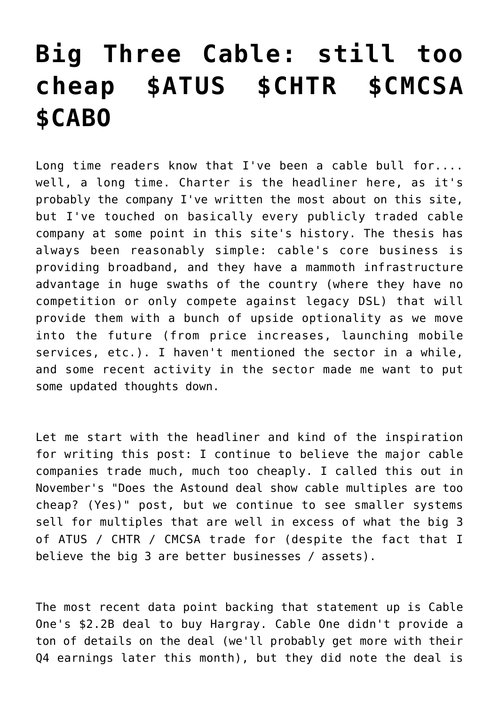## **[Big Three Cable: still too](https://yetanothervalueblog.com/2021/02/big-three-cable-still-too-cheap-atus-chtr-cmcsa-cabo.html) [cheap \\$ATUS \\$CHTR \\$CMCSA](https://yetanothervalueblog.com/2021/02/big-three-cable-still-too-cheap-atus-chtr-cmcsa-cabo.html) [\\$CABO](https://yetanothervalueblog.com/2021/02/big-three-cable-still-too-cheap-atus-chtr-cmcsa-cabo.html)**

Long time readers know that I've been a cable bull for.... well, a long time. [Charter is the headliner](https://yetanothervalueblog.com/category/stocks-by-ticker/a-m/chtr) here, as it's probably the company I've written the most about on this site, but I've touched on basically every publicly traded cable company at some point in this site's history. The thesis has always been reasonably simple: cable's core business is providing broadband, and they have a mammoth infrastructure advantage in huge swaths of the country (where they have no competition or only compete against legacy DSL) that will provide them with a bunch of upside optionality as we move into the future (from price increases, launching mobile services, etc.). I haven't mentioned the sector in a while, and some recent activity in the sector made me want to put some updated thoughts down.

Let me start with the headliner and kind of the inspiration for writing this post: I continue to believe the major cable companies trade much, much too cheaply. I called this out in November's ["Does the Astound deal show cable multiples are too](https://yetanothervalueblog.com/2020/11/does-the-astound-deal-show-cable-is-too-cheap-spoiler-yes-particularly-atus.html) [cheap? \(Yes\)](https://yetanothervalueblog.com/2020/11/does-the-astound-deal-show-cable-is-too-cheap-spoiler-yes-particularly-atus.html)" post, but we continue to see smaller systems sell for multiples that are well in excess of what the big 3 of ATUS / CHTR / CMCSA trade for (despite the fact that I believe the big 3 are better businesses / assets).

The most recent data point backing that statement up is [Cable](https://www.sec.gov/Archives/edgar/data/1632127/000095015721000190/ex99-1.htm) [One's \\$2.2B deal to buy Hargray.](https://www.sec.gov/Archives/edgar/data/1632127/000095015721000190/ex99-1.htm) Cable One didn't provide a ton of details on the deal (we'll probably get more with their Q4 earnings later this month), but they did note the deal is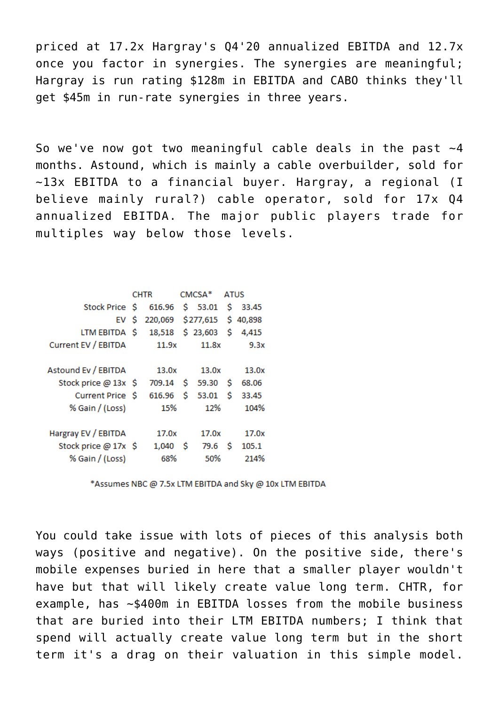priced at 17.2x Hargray's Q4'20 annualized EBITDA and 12.7x once you factor in synergies. The synergies are meaningful; Hargray is run rating \$128m in EBITDA and CABO thinks they'll get \$45m in run-rate synergies in three years.

So we've now got two meaningful cable deals in the past  $\sim$ 4 months. Astound, which is mainly a cable overbuilder, sold for ~13x EBITDA to a financial buyer. Hargray, a regional (I believe mainly rural?) cable operator, sold for 17x Q4 annualized EBITDA. The major public players trade for multiples way below those levels.

|                      | <b>CHTR</b> |         | CMCSA <sup>*</sup> |                    | ATUS |          |
|----------------------|-------------|---------|--------------------|--------------------|------|----------|
| Stock Price \$       |             | 616.96  |                    | \$53.01            | Ŝ.   | 33.45    |
| EV \$                |             | 220,069 |                    | \$277,615          |      | \$40,898 |
| LTM EBITDA \$        |             | 18,518  |                    | $$23,603$ $$4,415$ |      |          |
| Current EV / EBITDA  |             | 11.9x   |                    | 11.8x              |      | 9.3x     |
|                      |             |         |                    |                    |      |          |
| Astound Ev / EBITDA  |             | 13.0x   |                    | 13.0x              |      | 13.0x    |
| Stock price @ 13x \$ |             | 709.14  | Ś.                 | 59.30              | Ŝ    | 68.06    |
| Current Price \$     |             | 616.96  | s                  | 53.01              | - Ŝ  | 33.45    |
| % Gain / (Loss)      |             | 15%     |                    | 12%                |      | 104%     |
|                      |             | 17.0x   |                    | 17.0x              |      | 17.0x    |
| Hargray EV / EBITDA  |             |         |                    |                    |      |          |
| Stock price @ 17x \$ |             | 1,040   | - S                | 79.6               | -Ŝ   | 105.1    |
| % Gain / (Loss)      |             | 68%     |                    | 50%                |      | 214%     |

\*Assumes NBC @ 7.5x LTM EBITDA and Sky @ 10x LTM EBITDA

You could take issue with lots of pieces of this analysis both ways (positive and negative). On the positive side, there's mobile expenses buried in here that a smaller player wouldn't have but that will likely create value long term. CHTR, for example, has ~\$400m in EBITDA losses from the mobile business that are buried into their LTM EBITDA numbers; I think that spend will actually create value long term but in the short term it's a drag on their valuation in this simple model.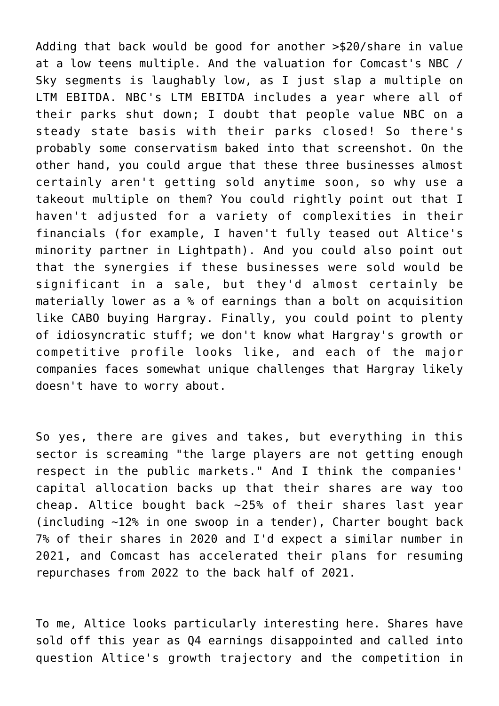Adding that back would be good for another >\$20/share in value at a low teens multiple. And the valuation for Comcast's NBC / Sky segments is laughably low, as I just slap a multiple on LTM EBITDA. NBC's LTM EBITDA includes a year where all of their parks shut down; I doubt that people value NBC on a steady state basis with their parks closed! So there's probably some conservatism baked into that screenshot. On the other hand, you could argue that these three businesses almost certainly aren't getting sold anytime soon, so why use a takeout multiple on them? You could rightly point out that I haven't adjusted for a variety of complexities in their financials (for example, I haven't fully teased out Altice's minority partner in Lightpath). And you could also point out that the synergies if these businesses were sold would be significant in a sale, but they'd almost certainly be materially lower as a % of earnings than a bolt on acquisition like CABO buying Hargray. Finally, you could point to plenty of idiosyncratic stuff; we don't know what Hargray's growth or competitive profile looks like, and each of the major companies faces somewhat unique challenges that Hargray likely doesn't have to worry about.

So yes, there are gives and takes, but everything in this sector is screaming "the large players are not getting enough respect in the public markets." And I think the companies' capital allocation backs up that their shares are way too cheap. Altice bought back ~25% of their shares last year ([including ~12% in one swoop in a tender\)](https://www.alticeusa.com/news/articles/feature/corporate/altice-usa-announces-final-results-its-tender-offer), Charter bought back 7% of their shares in 2020 and I'd expect a similar number in 2021, and Comcast has accelerated their plans for resuming repurchases from 2022 to the back half of 2021.

To me, Altice looks particularly interesting here. Shares have sold off this year as Q4 earnings disappointed and called into question Altice's growth trajectory and the competition in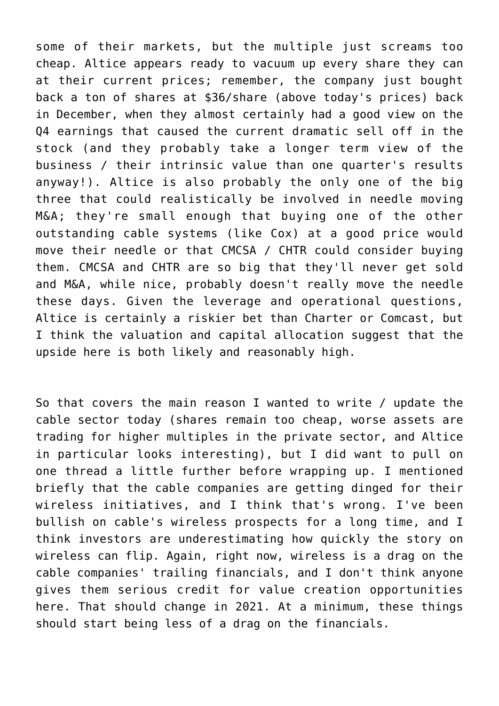some of their markets, but the multiple just screams too cheap. Altice appears ready to vacuum up every share they can at their current prices; remember, the company just bought back a ton of shares at \$36/share (above today's prices) back in December, when they almost certainly had a good view on the Q4 earnings that caused the current dramatic sell off in the stock (and they probably take a longer term view of the business / their intrinsic value than one quarter's results anyway!). Altice is also probably the only one of the big three that could realistically be involved in needle moving M&A; they're small enough that buying one of the other outstanding cable systems (like Cox) at a good price would move their needle or that CMCSA / CHTR could consider buying them. CMCSA and CHTR are so big that they'll never get sold and M&A, while nice, probably doesn't really move the needle these days. Given the leverage and operational questions, Altice is certainly a riskier bet than Charter or Comcast, but I think the valuation and capital allocation suggest that the upside here is both likely and reasonably high.

So that covers the main reason I wanted to write / update the cable sector today (shares remain too cheap, worse assets are trading for higher multiples in the private sector, and Altice in particular looks interesting), but I did want to pull on one thread a little further before wrapping up. I mentioned briefly that the cable companies are getting dinged for their wireless initiatives, and I think that's wrong. I've been bullish on cable's wireless prospects for a long time, and I think investors are underestimating how quickly the story on wireless can flip. Again, right now, wireless is a drag on the cable companies' trailing financials, and I don't think anyone gives them serious credit for value creation opportunities here. That should change in 2021. At a minimum, these things should start being less of a drag on the financials.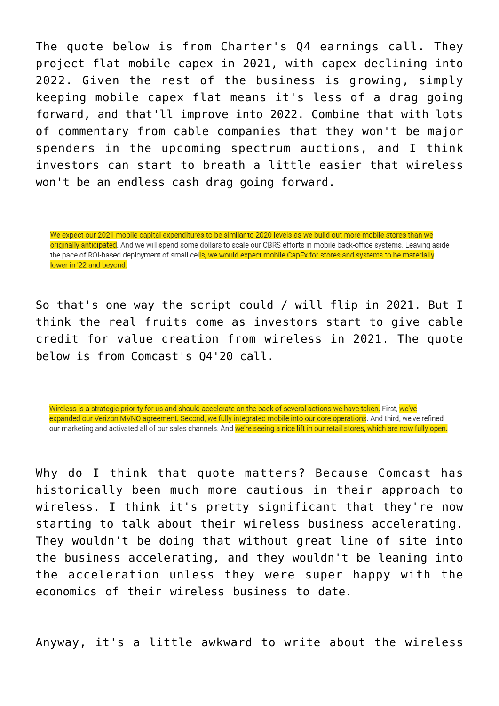The quote below is from Charter's Q4 earnings call. They project flat mobile capex in 2021, with capex declining into 2022. Given the rest of the business is growing, simply keeping mobile capex flat means it's less of a drag going forward, and that'll improve into 2022. Combine that with lots of commentary from cable companies that they won't be major spenders in the upcoming spectrum auctions, and I think investors can start to breath a little easier that wireless won't be an endless cash drag going forward.

We expect our 2021 mobile capital expenditures to be similar to 2020 levels as we build out more mobile stores than we originally anticipated. And we will spend some dollars to scale our CBRS efforts in mobile back-office systems. Leaving aside the pace of ROI-based deployment of small cells, we would expect mobile CapEx for stores and systems to be materially lower in '22 and beyond.

So that's one way the script could / will flip in 2021. But I think the real fruits come as investors start to give cable credit for value creation from wireless in 2021. The quote below is from Comcast's Q4'20 call.

Wireless is a strategic priority for us and should accelerate on the back of several actions we have taken. First, we've expanded our Verizon MVNO agreement. Second, we fully integrated mobile into our core operations. And third, we've refined our marketing and activated all of our sales channels. And we're seeing a nice lift in our retail stores, which are now fully open.

Why do I think that quote matters? Because Comcast has historically been much more cautious in their approach to wireless. I think it's pretty significant that they're now starting to talk about their wireless business accelerating. They wouldn't be doing that without great line of site into the business accelerating, and they wouldn't be leaning into the acceleration unless they were super happy with the economics of their wireless business to date.

Anyway, it's a little awkward to write about the wireless